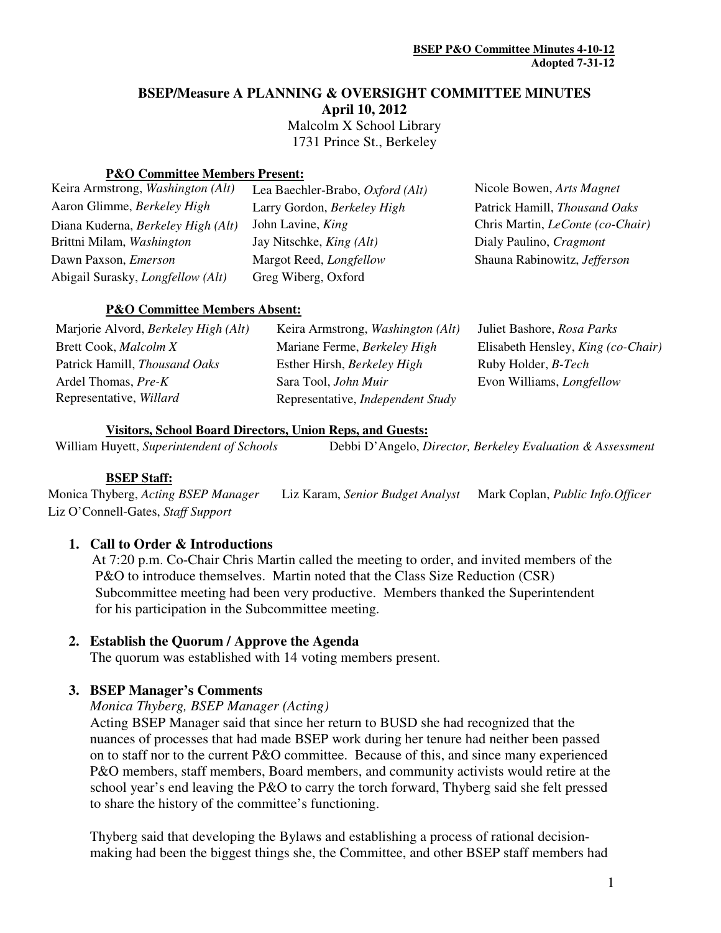### **BSEP/Measure A PLANNING & OVERSIGHT COMMITTEE MINUTES**

**April 10, 2012** 

 Malcolm X School Library 1731 Prince St., Berkeley

#### **P&O Committee Members Present:**

| Keira Armstrong, Washington (Alt)        | Lea Baechler-Brabo, Oxford (Alt) | Nicole Bowen, Arts Magnet               |
|------------------------------------------|----------------------------------|-----------------------------------------|
| Aaron Glimme, Berkeley High              | Larry Gordon, Berkeley High      | Patrick Hamill, Thousand Oaks           |
| Diana Kuderna, Berkeley High (Alt)       | John Lavine, <i>King</i>         | Chris Martin, <i>LeConte</i> (co-Chair) |
| Brittni Milam, Washington                | Jay Nitschke, <i>King (Alt)</i>  | Dialy Paulino, Cragmont                 |
| Dawn Paxson, <i>Emerson</i>              | Margot Reed, Longfellow          | Shauna Rabinowitz, Jefferson            |
| Abigail Surasky, <i>Longfellow</i> (Alt) | Greg Wiberg, Oxford              |                                         |
|                                          |                                  |                                         |

#### **P&O Committee Members Absent:**

| Marjorie Alvord, <i>Berkeley High</i> ( <i>Alt</i> ) | Keira Armstrong, <i>Washington</i> ( <i>Alt</i> ) | Juliet Bashore, Rosa Parks         |
|------------------------------------------------------|---------------------------------------------------|------------------------------------|
| Brett Cook, Malcolm X                                | Mariane Ferme, Berkeley High                      | Elisabeth Hensley, King (co-Chair) |
| Patrick Hamill, Thousand Oaks                        | Esther Hirsh, Berkeley High                       | Ruby Holder, <i>B-Tech</i>         |
| Ardel Thomas, Pre-K                                  | Sara Tool, John Muir                              | Evon Williams, <i>Longfellow</i>   |
| Representative, Willard                              | Representative, <i>Independent Study</i>          |                                    |

#### **Visitors, School Board Directors, Union Reps, and Guests:**

William Huyett, Superintendent of Schools **Debbi D'Angelo, Director, Berkeley Evaluation & Assessment** 

### **BSEP Staff:**

Monica Thyberg, *Acting BSEP Manager* Liz Karam, *Senior Budget Analyst* Mark Coplan, *Public Info.Officer*  Liz O'Connell-Gates, *Staff Support*

### **1. Call to Order & Introductions**

 At 7:20 p.m. Co-Chair Chris Martin called the meeting to order, and invited members of the P&O to introduce themselves. Martin noted that the Class Size Reduction (CSR) Subcommittee meeting had been very productive. Members thanked the Superintendent for his participation in the Subcommittee meeting.

### **2. Establish the Quorum / Approve the Agenda**

The quorum was established with 14 voting members present.

### **3. BSEP Manager's Comments**

#### *Monica Thyberg, BSEP Manager (Acting)*

Acting BSEP Manager said that since her return to BUSD she had recognized that the nuances of processes that had made BSEP work during her tenure had neither been passed on to staff nor to the current P&O committee. Because of this, and since many experienced P&O members, staff members, Board members, and community activists would retire at the school year's end leaving the P&O to carry the torch forward, Thyberg said she felt pressed to share the history of the committee's functioning.

Thyberg said that developing the Bylaws and establishing a process of rational decisionmaking had been the biggest things she, the Committee, and other BSEP staff members had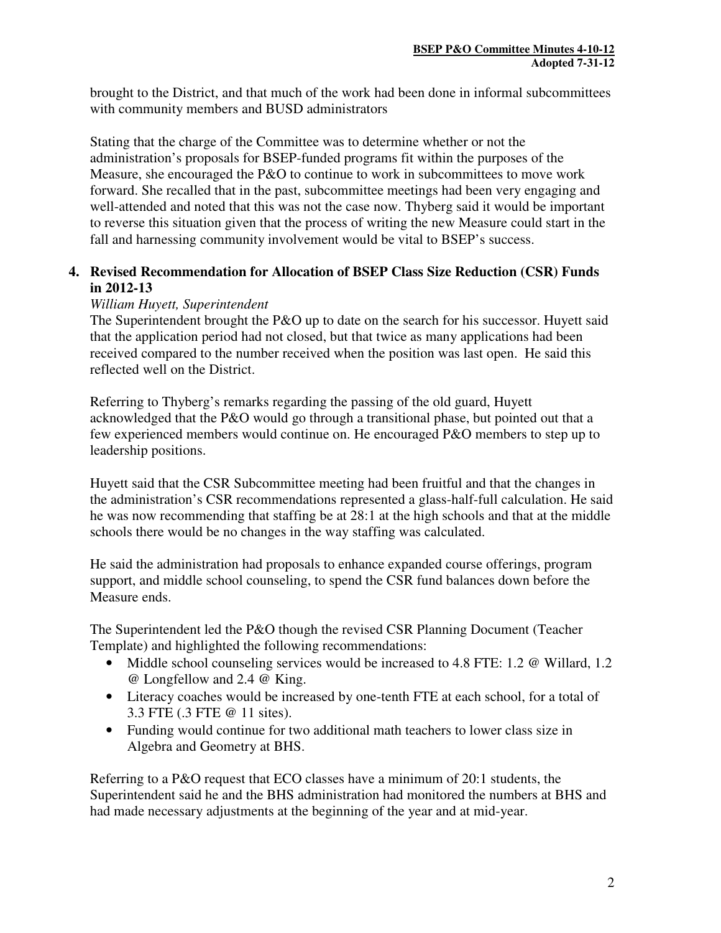brought to the District, and that much of the work had been done in informal subcommittees with community members and BUSD administrators

Stating that the charge of the Committee was to determine whether or not the administration's proposals for BSEP-funded programs fit within the purposes of the Measure, she encouraged the P&O to continue to work in subcommittees to move work forward. She recalled that in the past, subcommittee meetings had been very engaging and well-attended and noted that this was not the case now. Thyberg said it would be important to reverse this situation given that the process of writing the new Measure could start in the fall and harnessing community involvement would be vital to BSEP's success.

# **4. Revised Recommendation for Allocation of BSEP Class Size Reduction (CSR) Funds in 2012-13**

### *William Huyett, Superintendent*

The Superintendent brought the P&O up to date on the search for his successor. Huyett said that the application period had not closed, but that twice as many applications had been received compared to the number received when the position was last open. He said this reflected well on the District.

Referring to Thyberg's remarks regarding the passing of the old guard, Huyett acknowledged that the P&O would go through a transitional phase, but pointed out that a few experienced members would continue on. He encouraged P&O members to step up to leadership positions.

Huyett said that the CSR Subcommittee meeting had been fruitful and that the changes in the administration's CSR recommendations represented a glass-half-full calculation. He said he was now recommending that staffing be at 28:1 at the high schools and that at the middle schools there would be no changes in the way staffing was calculated.

He said the administration had proposals to enhance expanded course offerings, program support, and middle school counseling, to spend the CSR fund balances down before the Measure ends.

The Superintendent led the P&O though the revised CSR Planning Document (Teacher Template) and highlighted the following recommendations:

- Middle school counseling services would be increased to 4.8 FTE: 1.2 @ Willard, 1.2 @ Longfellow and 2.4 @ King.
- Literacy coaches would be increased by one-tenth FTE at each school, for a total of 3.3 FTE (.3 FTE @ 11 sites).
- Funding would continue for two additional math teachers to lower class size in Algebra and Geometry at BHS.

Referring to a P&O request that ECO classes have a minimum of 20:1 students, the Superintendent said he and the BHS administration had monitored the numbers at BHS and had made necessary adjustments at the beginning of the year and at mid-year.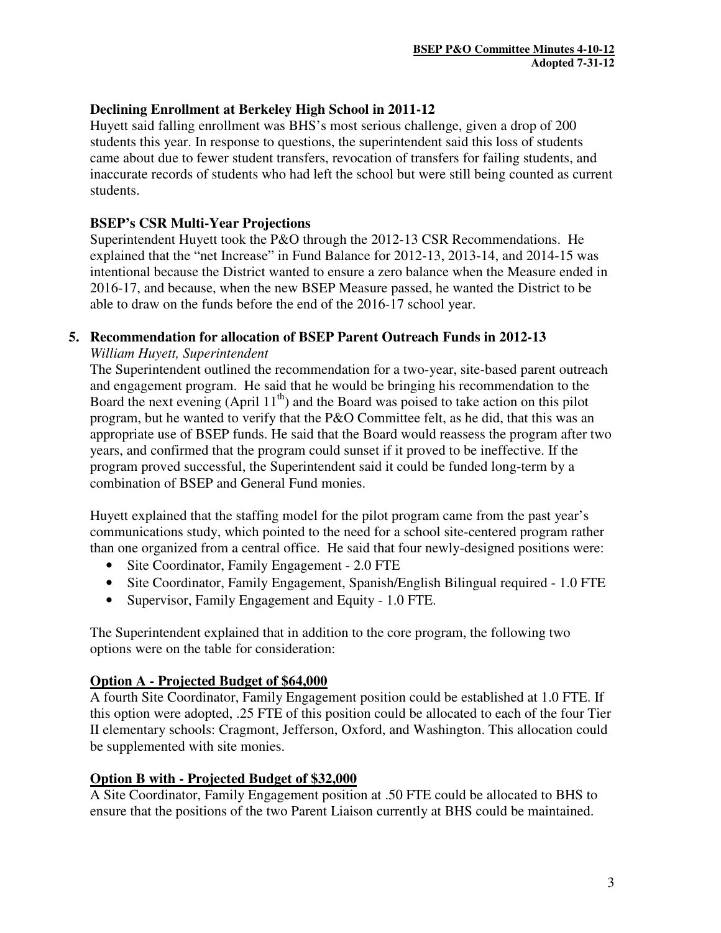# **Declining Enrollment at Berkeley High School in 2011-12**

Huyett said falling enrollment was BHS's most serious challenge, given a drop of 200 students this year. In response to questions, the superintendent said this loss of students came about due to fewer student transfers, revocation of transfers for failing students, and inaccurate records of students who had left the school but were still being counted as current students.

# **BSEP's CSR Multi-Year Projections**

Superintendent Huyett took the P&O through the 2012-13 CSR Recommendations. He explained that the "net Increase" in Fund Balance for 2012-13, 2013-14, and 2014-15 was intentional because the District wanted to ensure a zero balance when the Measure ended in 2016-17, and because, when the new BSEP Measure passed, he wanted the District to be able to draw on the funds before the end of the 2016-17 school year.

# **5. Recommendation for allocation of BSEP Parent Outreach Funds in 2012-13**

### *William Huyett, Superintendent*

The Superintendent outlined the recommendation for a two-year, site-based parent outreach and engagement program. He said that he would be bringing his recommendation to the Board the next evening (April  $11<sup>th</sup>$ ) and the Board was poised to take action on this pilot program, but he wanted to verify that the P&O Committee felt, as he did, that this was an appropriate use of BSEP funds. He said that the Board would reassess the program after two years, and confirmed that the program could sunset if it proved to be ineffective. If the program proved successful, the Superintendent said it could be funded long-term by a combination of BSEP and General Fund monies.

Huyett explained that the staffing model for the pilot program came from the past year's communications study, which pointed to the need for a school site-centered program rather than one organized from a central office. He said that four newly-designed positions were:

- Site Coordinator, Family Engagement 2.0 FTE
- Site Coordinator, Family Engagement, Spanish/English Bilingual required 1.0 FTE
- Supervisor, Family Engagement and Equity 1.0 FTE.

The Superintendent explained that in addition to the core program, the following two options were on the table for consideration:

# **Option A - Projected Budget of \$64,000**

A fourth Site Coordinator, Family Engagement position could be established at 1.0 FTE. If this option were adopted, .25 FTE of this position could be allocated to each of the four Tier II elementary schools: Cragmont, Jefferson, Oxford, and Washington. This allocation could be supplemented with site monies.

# **Option B with - Projected Budget of \$32,000**

A Site Coordinator, Family Engagement position at .50 FTE could be allocated to BHS to ensure that the positions of the two Parent Liaison currently at BHS could be maintained.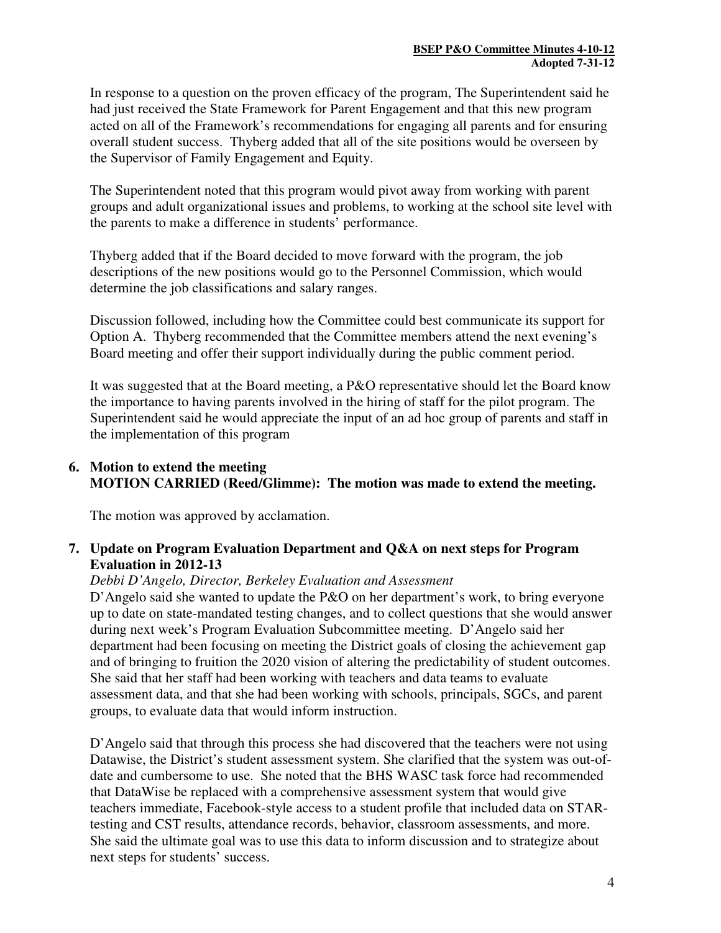In response to a question on the proven efficacy of the program, The Superintendent said he had just received the State Framework for Parent Engagement and that this new program acted on all of the Framework's recommendations for engaging all parents and for ensuring overall student success. Thyberg added that all of the site positions would be overseen by the Supervisor of Family Engagement and Equity.

The Superintendent noted that this program would pivot away from working with parent groups and adult organizational issues and problems, to working at the school site level with the parents to make a difference in students' performance.

Thyberg added that if the Board decided to move forward with the program, the job descriptions of the new positions would go to the Personnel Commission, which would determine the job classifications and salary ranges.

Discussion followed, including how the Committee could best communicate its support for Option A. Thyberg recommended that the Committee members attend the next evening's Board meeting and offer their support individually during the public comment period.

It was suggested that at the Board meeting, a P&O representative should let the Board know the importance to having parents involved in the hiring of staff for the pilot program. The Superintendent said he would appreciate the input of an ad hoc group of parents and staff in the implementation of this program

# **6. Motion to extend the meeting MOTION CARRIED (Reed/Glimme): The motion was made to extend the meeting.**

The motion was approved by acclamation.

# **7. Update on Program Evaluation Department and Q&A on next steps for Program Evaluation in 2012-13**

# *Debbi D'Angelo, Director, Berkeley Evaluation and Assessment*

D'Angelo said she wanted to update the P&O on her department's work, to bring everyone up to date on state-mandated testing changes, and to collect questions that she would answer during next week's Program Evaluation Subcommittee meeting. D'Angelo said her department had been focusing on meeting the District goals of closing the achievement gap and of bringing to fruition the 2020 vision of altering the predictability of student outcomes. She said that her staff had been working with teachers and data teams to evaluate assessment data, and that she had been working with schools, principals, SGCs, and parent groups, to evaluate data that would inform instruction.

D'Angelo said that through this process she had discovered that the teachers were not using Datawise, the District's student assessment system. She clarified that the system was out-ofdate and cumbersome to use. She noted that the BHS WASC task force had recommended that DataWise be replaced with a comprehensive assessment system that would give teachers immediate, Facebook-style access to a student profile that included data on STARtesting and CST results, attendance records, behavior, classroom assessments, and more. She said the ultimate goal was to use this data to inform discussion and to strategize about next steps for students' success.